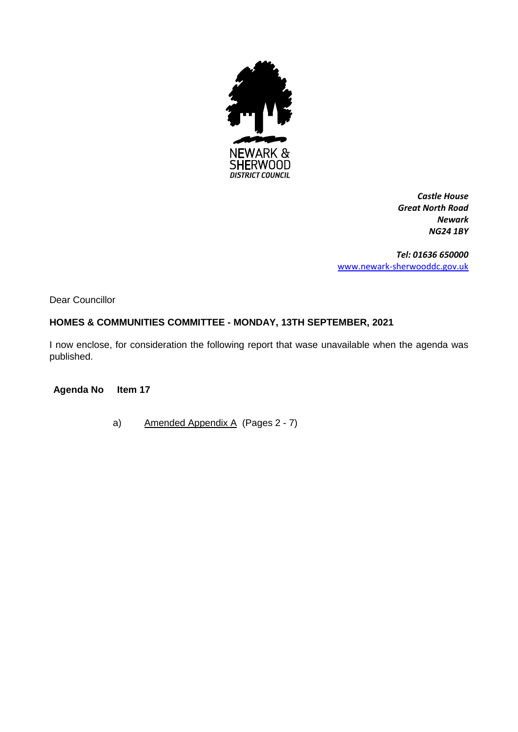

*Castle House Great North Road Newark NG24 1BY*

*Tel: 01636 650000* [www.newark-sherwooddc.gov.uk](http://www.newark-sherwooddc.gov.uk/)

Dear Councillor

## **HOMES & COMMUNITIES COMMITTEE - MONDAY, 13TH SEPTEMBER, 2021**

I now enclose, for consideration the following report that wase unavailable when the agenda was published.

**Agenda No Item 17**

a) Amended Appendix A (Pages 2 - 7)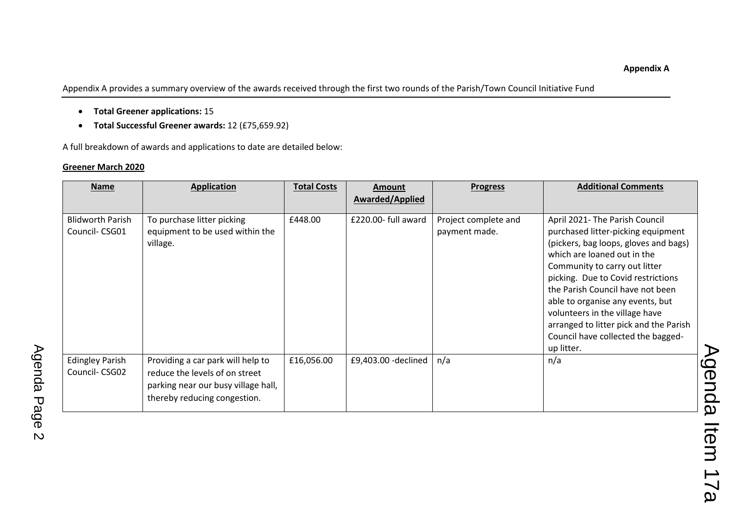Appendix A provides a summary overview of the awards received through the first two rounds of the Parish/Town Council Initiative Fund

- **Total Greener applications:** 15
- **Total Successful Greener awards:** 12 (£75,659.92)

A full breakdown of awards and applications to date are detailed below:

## **Greener March 2020**

| <b>Name</b>                              | <b>Application</b>                                                                                                                         | <b>Total Costs</b> | <b>Amount</b><br><b>Awarded/Applied</b> | <b>Progress</b>                       | <b>Additional Comments</b>                                                                                                                                                                                                                                                                                                                                                                                                  |
|------------------------------------------|--------------------------------------------------------------------------------------------------------------------------------------------|--------------------|-----------------------------------------|---------------------------------------|-----------------------------------------------------------------------------------------------------------------------------------------------------------------------------------------------------------------------------------------------------------------------------------------------------------------------------------------------------------------------------------------------------------------------------|
| <b>Blidworth Parish</b><br>Council-CSG01 | To purchase litter picking<br>equipment to be used within the<br>village.                                                                  | £448.00            | £220.00- full award                     | Project complete and<br>payment made. | April 2021- The Parish Council<br>purchased litter-picking equipment<br>(pickers, bag loops, gloves and bags)<br>which are loaned out in the<br>Community to carry out litter<br>picking. Due to Covid restrictions<br>the Parish Council have not been<br>able to organise any events, but<br>volunteers in the village have<br>arranged to litter pick and the Parish<br>Council have collected the bagged-<br>up litter. |
| <b>Edingley Parish</b><br>Council-CSG02  | Providing a car park will help to<br>reduce the levels of on street<br>parking near our busy village hall,<br>thereby reducing congestion. | £16,056.00         | £9,403.00 - declined                    | n/a                                   | n/a                                                                                                                                                                                                                                                                                                                                                                                                                         |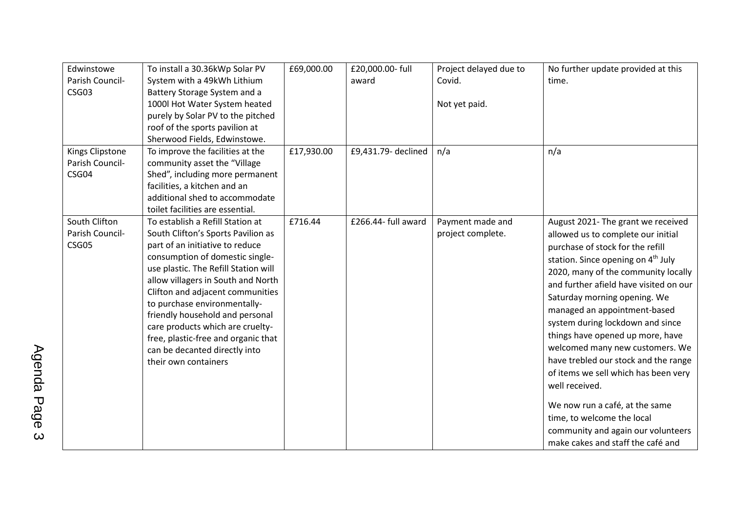| Edwinstowe      | To install a 30.36kWp Solar PV       | £69,000.00 | £20,000.00- full    | Project delayed due to | No further update provided at this             |
|-----------------|--------------------------------------|------------|---------------------|------------------------|------------------------------------------------|
| Parish Council- | System with a 49kWh Lithium          |            | award               | Covid.                 | time.                                          |
| CSG03           | Battery Storage System and a         |            |                     |                        |                                                |
|                 | 1000l Hot Water System heated        |            |                     | Not yet paid.          |                                                |
|                 | purely by Solar PV to the pitched    |            |                     |                        |                                                |
|                 | roof of the sports pavilion at       |            |                     |                        |                                                |
|                 | Sherwood Fields, Edwinstowe.         |            |                     |                        |                                                |
| Kings Clipstone | To improve the facilities at the     | £17,930.00 | £9,431.79- declined | n/a                    | n/a                                            |
| Parish Council- | community asset the "Village         |            |                     |                        |                                                |
| CSG04           | Shed", including more permanent      |            |                     |                        |                                                |
|                 | facilities, a kitchen and an         |            |                     |                        |                                                |
|                 | additional shed to accommodate       |            |                     |                        |                                                |
|                 | toilet facilities are essential.     |            |                     |                        |                                                |
| South Clifton   | To establish a Refill Station at     | £716.44    | £266.44- full award | Payment made and       | August 2021- The grant we received             |
| Parish Council- | South Clifton's Sports Pavilion as   |            |                     | project complete.      | allowed us to complete our initial             |
| CSG05           | part of an initiative to reduce      |            |                     |                        | purchase of stock for the refill               |
|                 | consumption of domestic single-      |            |                     |                        | station. Since opening on 4 <sup>th</sup> July |
|                 | use plastic. The Refill Station will |            |                     |                        | 2020, many of the community locally            |
|                 | allow villagers in South and North   |            |                     |                        | and further afield have visited on our         |
|                 | Clifton and adjacent communities     |            |                     |                        | Saturday morning opening. We                   |
|                 | to purchase environmentally-         |            |                     |                        | managed an appointment-based                   |
|                 | friendly household and personal      |            |                     |                        | system during lockdown and since               |
|                 | care products which are cruelty-     |            |                     |                        | things have opened up more, have               |
|                 | free, plastic-free and organic that  |            |                     |                        | welcomed many new customers. We                |
|                 | can be decanted directly into        |            |                     |                        | have trebled our stock and the range           |
|                 | their own containers                 |            |                     |                        | of items we sell which has been very           |
|                 |                                      |            |                     |                        |                                                |
|                 |                                      |            |                     |                        | well received.                                 |
|                 |                                      |            |                     |                        | We now run a café, at the same                 |
|                 |                                      |            |                     |                        | time, to welcome the local                     |
|                 |                                      |            |                     |                        | community and again our volunteers             |
|                 |                                      |            |                     |                        | make cakes and staff the café and              |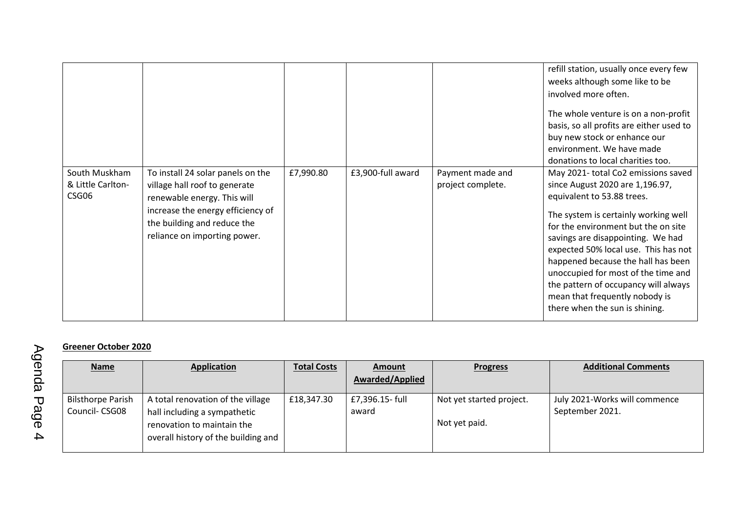|                                             |                                                                                                                                                                                                       |           |                   |                                       | refill station, usually once every few<br>weeks although some like to be<br>involved more often.<br>The whole venture is on a non-profit<br>basis, so all profits are either used to<br>buy new stock or enhance our<br>environment. We have made<br>donations to local charities too.                                                                                                                                                                    |
|---------------------------------------------|-------------------------------------------------------------------------------------------------------------------------------------------------------------------------------------------------------|-----------|-------------------|---------------------------------------|-----------------------------------------------------------------------------------------------------------------------------------------------------------------------------------------------------------------------------------------------------------------------------------------------------------------------------------------------------------------------------------------------------------------------------------------------------------|
| South Muskham<br>& Little Carlton-<br>CSG06 | To install 24 solar panels on the<br>village hall roof to generate<br>renewable energy. This will<br>increase the energy efficiency of<br>the building and reduce the<br>reliance on importing power. | £7,990.80 | £3,900-full award | Payment made and<br>project complete. | May 2021- total Co2 emissions saved<br>since August 2020 are 1,196.97,<br>equivalent to 53.88 trees.<br>The system is certainly working well<br>for the environment but the on site<br>savings are disappointing. We had<br>expected 50% local use. This has not<br>happened because the hall has been<br>unoccupied for most of the time and<br>the pattern of occupancy will always<br>mean that frequently nobody is<br>there when the sun is shining. |

## **Greener October 2020**

| <b>Name</b>                               | <b>Application</b>                                                                                                                     | <b>Total Costs</b> | <b>Amount</b>            | <b>Progress</b>                           | <b>Additional Comments</b>                       |
|-------------------------------------------|----------------------------------------------------------------------------------------------------------------------------------------|--------------------|--------------------------|-------------------------------------------|--------------------------------------------------|
|                                           |                                                                                                                                        |                    | <b>Awarded/Applied</b>   |                                           |                                                  |
| <b>Bilsthorpe Parish</b><br>Council-CSG08 | A total renovation of the village<br>hall including a sympathetic<br>renovation to maintain the<br>overall history of the building and | £18,347.30         | £7,396.15- full<br>award | Not yet started project.<br>Not yet paid. | July 2021-Works will commence<br>September 2021. |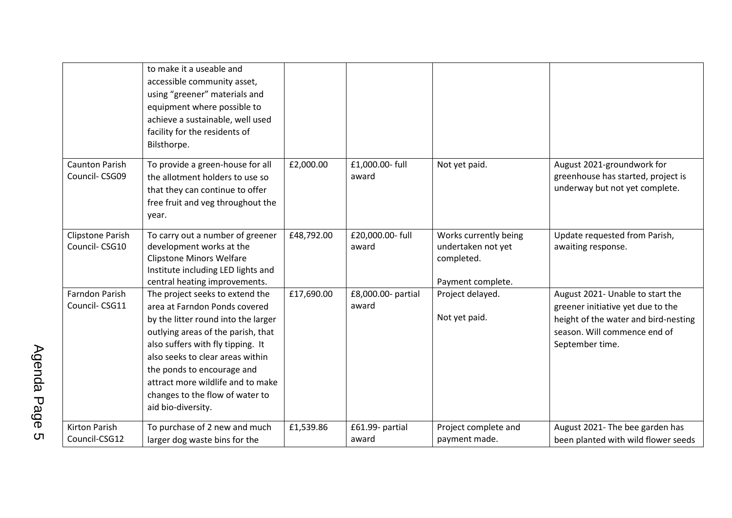|                                          | to make it a useable and<br>accessible community asset,<br>using "greener" materials and<br>equipment where possible to<br>achieve a sustainable, well used<br>facility for the residents of<br>Bilsthorpe.                                                                                                                                        |            |                             |                                                                                |                                                                                                                                                                  |
|------------------------------------------|----------------------------------------------------------------------------------------------------------------------------------------------------------------------------------------------------------------------------------------------------------------------------------------------------------------------------------------------------|------------|-----------------------------|--------------------------------------------------------------------------------|------------------------------------------------------------------------------------------------------------------------------------------------------------------|
| <b>Caunton Parish</b><br>Council-CSG09   | To provide a green-house for all<br>the allotment holders to use so<br>that they can continue to offer<br>free fruit and veg throughout the<br>year.                                                                                                                                                                                               | £2,000.00  | £1,000.00- full<br>award    | Not yet paid.                                                                  | August 2021-groundwork for<br>greenhouse has started, project is<br>underway but not yet complete.                                                               |
| <b>Clipstone Parish</b><br>Council-CSG10 | To carry out a number of greener<br>development works at the<br><b>Clipstone Minors Welfare</b><br>Institute including LED lights and<br>central heating improvements.                                                                                                                                                                             | £48,792.00 | £20,000.00- full<br>award   | Works currently being<br>undertaken not yet<br>completed.<br>Payment complete. | Update requested from Parish,<br>awaiting response.                                                                                                              |
| <b>Farndon Parish</b><br>Council-CSG11   | The project seeks to extend the<br>area at Farndon Ponds covered<br>by the litter round into the larger<br>outlying areas of the parish, that<br>also suffers with fly tipping. It<br>also seeks to clear areas within<br>the ponds to encourage and<br>attract more wildlife and to make<br>changes to the flow of water to<br>aid bio-diversity. | £17,690.00 | £8,000.00- partial<br>award | Project delayed.<br>Not yet paid.                                              | August 2021- Unable to start the<br>greener initiative yet due to the<br>height of the water and bird-nesting<br>season. Will commence end of<br>September time. |
| <b>Kirton Parish</b><br>Council-CSG12    | To purchase of 2 new and much<br>larger dog waste bins for the                                                                                                                                                                                                                                                                                     | £1,539.86  | £61.99- partial<br>award    | Project complete and<br>payment made.                                          | August 2021- The bee garden has<br>been planted with wild flower seeds                                                                                           |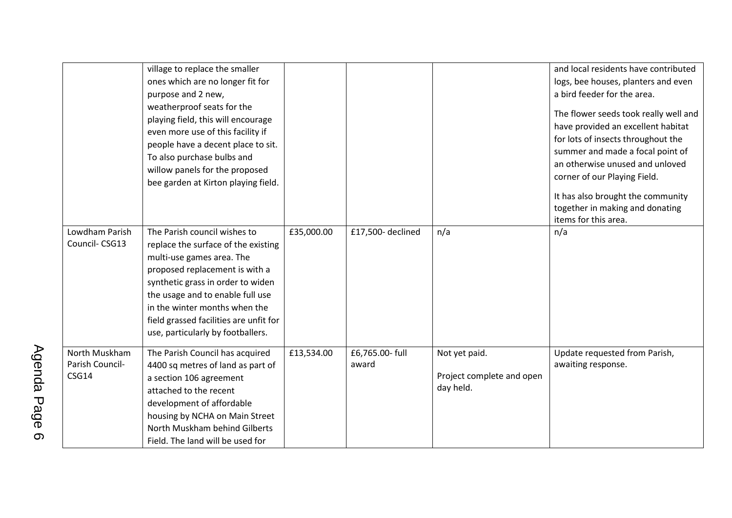|                                           | village to replace the smaller<br>ones which are no longer fit for<br>purpose and 2 new,<br>weatherproof seats for the<br>playing field, this will encourage<br>even more use of this facility if<br>people have a decent place to sit.<br>To also purchase bulbs and<br>willow panels for the proposed<br>bee garden at Kirton playing field. |            |                          |                                                         | and local residents have contributed<br>logs, bee houses, planters and even<br>a bird feeder for the area.<br>The flower seeds took really well and<br>have provided an excellent habitat<br>for lots of insects throughout the<br>summer and made a focal point of<br>an otherwise unused and unloved<br>corner of our Playing Field.<br>It has also brought the community<br>together in making and donating<br>items for this area. |
|-------------------------------------------|------------------------------------------------------------------------------------------------------------------------------------------------------------------------------------------------------------------------------------------------------------------------------------------------------------------------------------------------|------------|--------------------------|---------------------------------------------------------|----------------------------------------------------------------------------------------------------------------------------------------------------------------------------------------------------------------------------------------------------------------------------------------------------------------------------------------------------------------------------------------------------------------------------------------|
| Lowdham Parish<br>Council-CSG13           | The Parish council wishes to<br>replace the surface of the existing<br>multi-use games area. The<br>proposed replacement is with a<br>synthetic grass in order to widen<br>the usage and to enable full use<br>in the winter months when the<br>field grassed facilities are unfit for<br>use, particularly by footballers.                    | £35,000.00 | £17,500-declined         | n/a                                                     | n/a                                                                                                                                                                                                                                                                                                                                                                                                                                    |
| North Muskham<br>Parish Council-<br>CSG14 | The Parish Council has acquired<br>4400 sq metres of land as part of<br>a section 106 agreement<br>attached to the recent<br>development of affordable<br>housing by NCHA on Main Street<br>North Muskham behind Gilberts<br>Field. The land will be used for                                                                                  | £13,534.00 | £6,765.00- full<br>award | Not yet paid.<br>Project complete and open<br>day held. | Update requested from Parish,<br>awaiting response.                                                                                                                                                                                                                                                                                                                                                                                    |